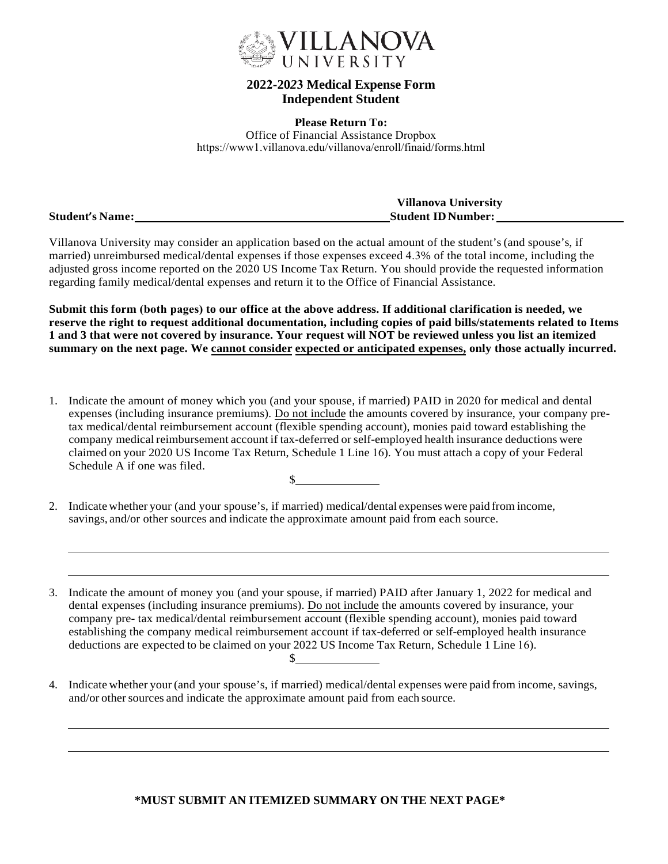

## **2022-20***2***3 Medical Expense Form Independent Student**

**Please Return To:** Office of Financial Assistance Dropbox https://www1.villanova.edu/villanova/enroll/finaid/forms.html

|                        | <b>Villanova University</b> |
|------------------------|-----------------------------|
| <b>Student's Name:</b> | <b>Student ID Number:</b>   |

Villanova University may consider an application based on the actual amount of the student's (and spouse's, if married) unreimbursed medical/dental expenses if those expenses exceed 4.3% of the total income, including the adjusted gross income reported on the 2020 US Income Tax Return. You should provide the requested information regarding family medical/dental expenses and return it to the Office of Financial Assistance.

**Submit this form (both pages) to our office at the above address. If additional clarification is needed, we reserve the right to request additional documentation, including copies of paid bills/statements related to Items 1 and 3 that were not covered by insurance. Your request will NOT be reviewed unless you list an itemized summary on the next page. We cannot consider expected or anticipated expenses, only those actually incurred.**

- 1. Indicate the amount of money which you (and your spouse, if married) PAID in 2020 for medical and dental expenses (including insurance premiums). Do not include the amounts covered by insurance, your company pretax medical/dental reimbursement account (flexible spending account), monies paid toward establishing the company medical reimbursement account if tax-deferred orself-employed health insurance deductions were claimed on your 2020 US Income Tax Return, Schedule 1 Line 16). You must attach a copy of your Federal Schedule A if one was filed.  $\sim$
- 2. Indicate whether your (and your spouse's, if married) medical/dental expenses were paid from income, savings, and/or other sources and indicate the approximate amount paid from each source.

3. Indicate the amount of money you (and your spouse, if married) PAID after January 1, 2022 for medical and dental expenses (including insurance premiums). Do not include the amounts covered by insurance, your company pre- tax medical/dental reimbursement account (flexible spending account), monies paid toward establishing the company medical reimbursement account if tax-deferred or self-employed health insurance deductions are expected to be claimed on your 2022 US Income Tax Return, Schedule 1 Line 16).  $\mathbb{S}$ 

4. Indicate whether your (and your spouse's, if married) medical/dental expenses were paid from income,savings, and/or other sources and indicate the approximate amount paid from each source.

## **\*MUST SUBMIT AN ITEMIZED SUMMARY ON THE NEXT PAGE\***